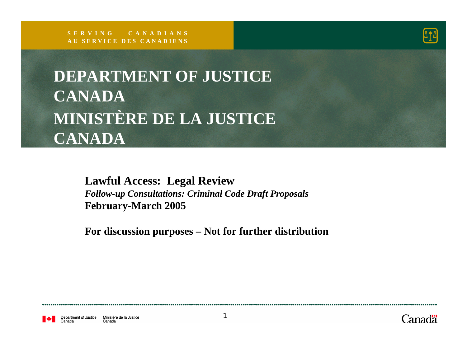

**DEPARTMENT OF JUSTICE CANADAMINISTÈRE DE LA JUSTICE CANADA**

> **Lawful Access: Legal Review** *Follow-up Consultations: Criminal Code Draft Proposals* **February-March 2005**

**For discussion purposes – Not for further distribution**

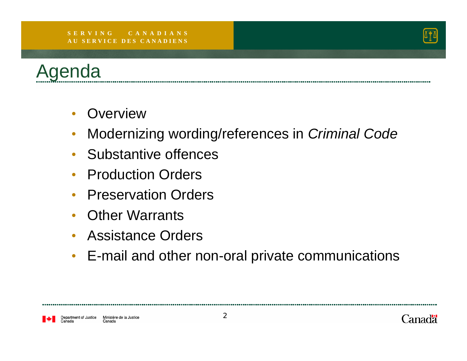#### **S E R V I N G C A N A D I A N SA U S E R V I C E D E S C A N A D I E N S**





- $\bullet$ **Overview**
- $\bullet$ Modernizing wording/references in *Criminal Code*
- Substantive offences
- Production Orders
- Preservation Orders
- $\bullet$ Other Warrants
- Assistance Orders
- E-mail and other non-oral private communications

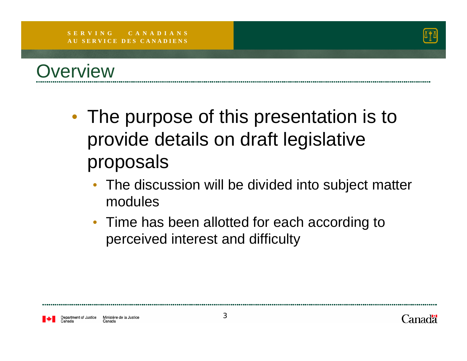



- $\bullet$ • The purpose of this presentation is to provide details on draft legislative proposals
	- The discussion will be divided into subject matter modules
	- Time has been allotted for each according to perceived interest and difficulty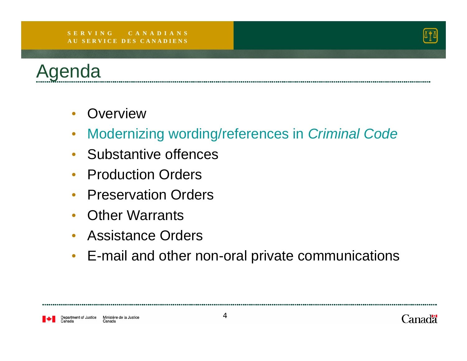#### **S E R V I N G C A N A D I A N SA U S E R V I C E D E S C A N A D I E N S**





- Overview
- $\bullet$ Modernizing wording/references in *Criminal Code*
- Substantive offences
- Production Orders
- Preservation Orders
- $\bullet$ Other Warrants
- Assistance Orders
- E-mail and other non-oral private communications

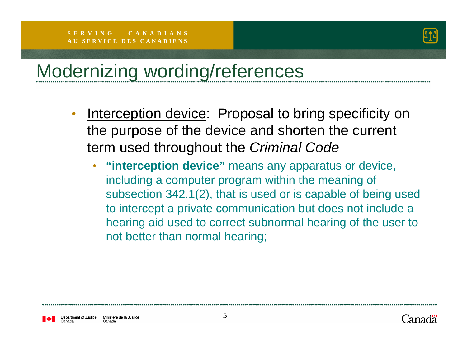

## Modernizing wording/references

- •Interception device: Proposal to bring specificity on the purpose of the device and shorten the current term used throughout the *Criminal Code*
	- • **"interception device"** means any apparatus or device, including a computer program within the meaning of subsection 342.1(2), that is used or is capable of being used to intercept a private communication but does not include a hearing aid used to correct subnormal hearing of the user to not better than normal hearing;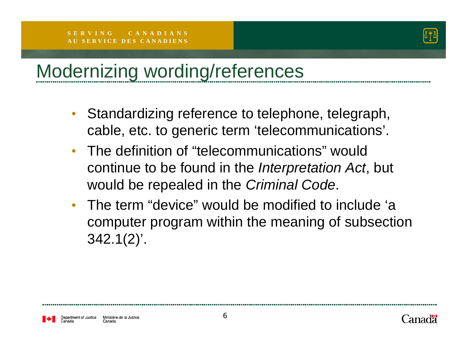

## Modernizing wording/references

- Standardizing reference to telephone, telegraph, cable, etc. to generic term 'telecommunications'.
- The definition of "telecommunications" would continue to be found in the *Interpretation Act*, but would be repealed in the *Criminal Code*.
- The term "device" would be modified to include 'a computer program within the meaning of subsection 342.1(2)'.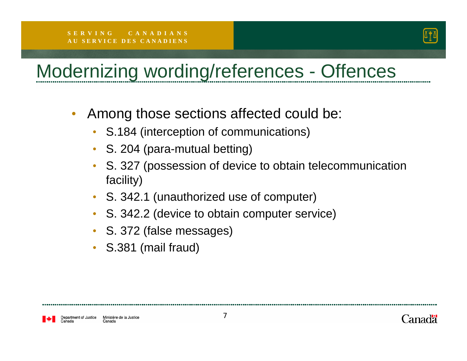

## Modernizing wording/references - Offences

- $\bullet$  Among those sections affected could be:
	- S.184 (interception of communications)
	- S. 204 (para-mutual betting)
	- S. 327 (possession of device to obtain telecommunication facility)
	- S. 342.1 (unauthorized use of computer)
	- S. 342.2 (device to obtain computer service)
	- S. 372 (false messages)
	- S.381 (mail fraud)

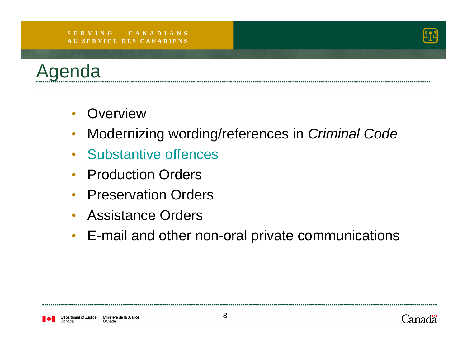#### **S E R V I N G C A N A D I A N SA U S E R V I C E D E S C A N A D I E N S**





- Overview
- $\bullet$ Modernizing wording/references in *Criminal Code*
- Substantive offences
- Production Orders
- Preservation Orders
- Assistance Orders
- E-mail and other non-oral private communications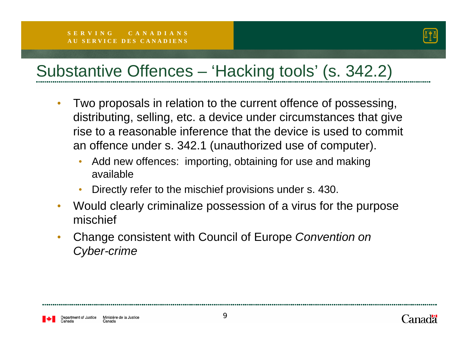

#### Substantive Offences – 'Hacking tools' (s. 342.2)

- • Two proposals in relation to the current offence of possessing, distributing, selling, etc. a device under circumstances that give rise to a reasonable inference that the device is used to commit an offence under s. 342.1 (unauthorized use of computer).
	- • Add new offences: importing, obtaining for use and making available
	- •Directly refer to the mischief provisions under s. 430.
- $\bullet$  Would clearly criminalize possession of a virus for the purpose mischief
- • Change consistent with Council of Europe *Convention on Cyber-crime*

epartment of Justice Ministère de la Justice Canada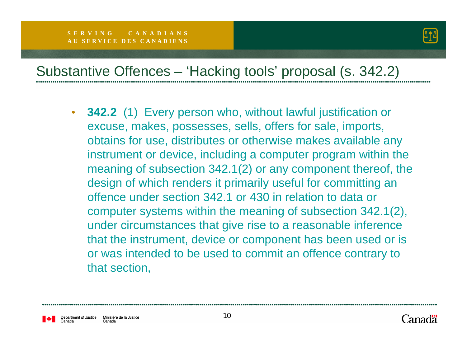

#### Substantive Offences – 'Hacking tools' proposal (s. 342.2)

 $\bullet$  **342.2** (1) Every person who, without lawful justification or excuse, makes, possesses, sells, offers for sale, imports, obtains for use, distributes or otherwise makes available any instrument or device, including a computer program within the meaning of subsection 342.1(2) or any component thereof, the design of which renders it primarily useful for committing an offence under section 342.1 or 430 in relation to data or computer systems within the meaning of subsection 342.1(2), under circumstances that give rise to a reasonable inference that the instrument, device or component has been used or is or was intended to be used to commit an offence contrary to that section,

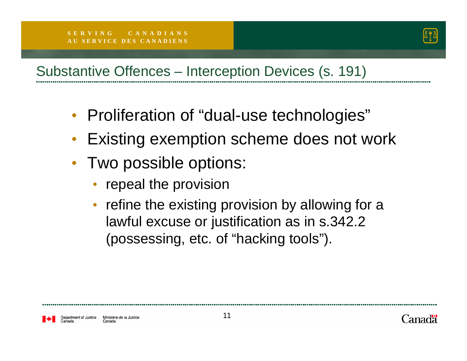

#### Substantive Offences – Interception Devices (s. 191)

- Proliferation of "dual-use technologies"
- $\bullet$ Existing exemption scheme does not work
- • Two possible options:
	- repeal the provision
	- refine the existing provision by allowing for a lawful excuse or justification as in s.342.2 (possessing, etc. of "hacking tools").

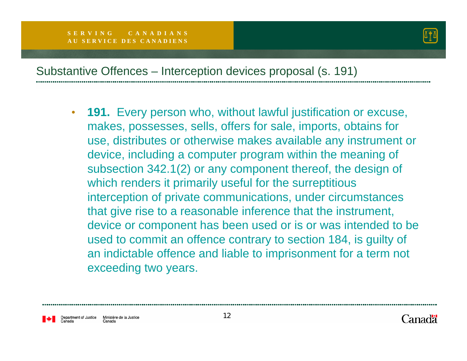

#### Substantive Offences – Interception devices proposal (s. 191)

 $\bullet$  **191.** Every person who, without lawful justification or excuse, makes, possesses, sells, offers for sale, imports, obtains for use, distributes or otherwise makes available any instrument or device, including a computer program within the meaning of subsection 342.1(2) or any component thereof, the design of which renders it primarily useful for the surreptitious interception of private communications, under circumstances that give rise to a reasonable inference that the instrument, device or component has been used or is or was intended to be used to commit an offence contrary to section 184, is guilty of an indictable offence and liable to imprisonment for a term not exceeding two years.

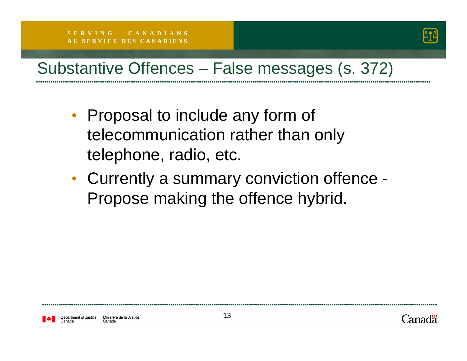

#### Substantive Offences – False messages (s. 372)

- Proposal to include any form of telecommunication rather than only telephone, radio, etc.
- Currently a summary conviction offence Propose making the offence hybrid.

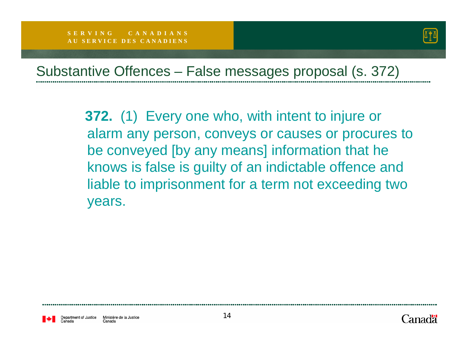

#### Substantive Offences – False messages proposal (s. 372)

**372.** (1) Every one who, with intent to injure or alarm any person, conveys or causes or procures to be conveyed [by any means] information that he knows is false is guilty of an indictable offence and liable to imprisonment for a term not exceeding two years.

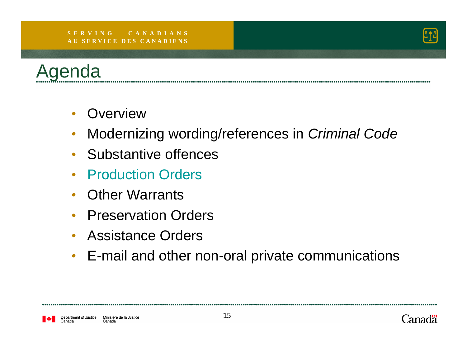#### **S E R V I N G C A N A D I A N SA U S E R V I C E D E S C A N A D I E N S**





- $\bullet$ **Overview**
- $\bullet$ Modernizing wording/references in *Criminal Code*
- Substantive offences
- Production Orders
- Other Warrants
- $\bullet$ Preservation Orders
- $\bullet$ Assistance Orders
- E-mail and other non-oral private communications

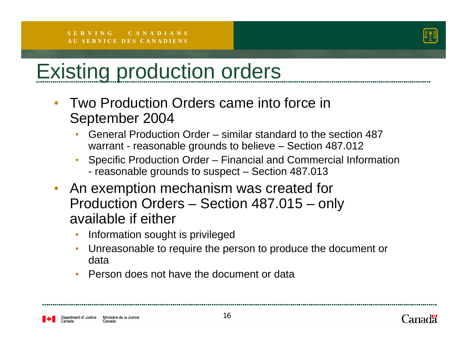

## Existing production orders

- Two Production Orders came into force in September 2004
	- • General Production Order – similar standard to the section 487 warrant - reasonable grounds to believe – Section 487.012
	- • Specific Production Order – Financial and Commercial Information - reasonable grounds to suspect – Section 487.013
- An exemption mechanism was created for Production Orders – Section 487.015 – only available if either
	- •Information sought is privileged
	- • Unreasonable to require the person to produce the document or data
	- •Person does not have the document or data

epartment of Justice Ministère de la Justice Canada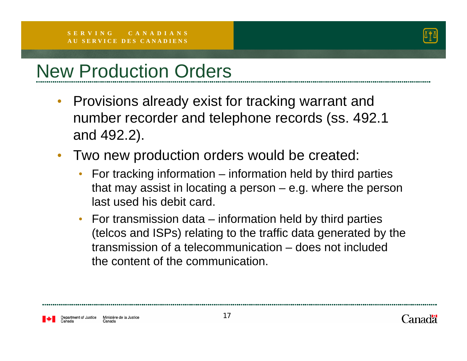

### New Production Orders

- $\bullet$  Provisions already exist for tracking warrant and number recorder and telephone records (ss. 492.1 and 492.2).
- $\bullet$  Two new production orders would be created:
	- For tracking information information held by third parties that may assist in locating a person – e.g. where the person last used his debit card.
	- For transmission data information held by third parties (telcos and ISPs) relating to the traffic data generated by the transmission of a telecommunication – does not included the content of the communication.

epartment of Justice Ministère de la Justice Canada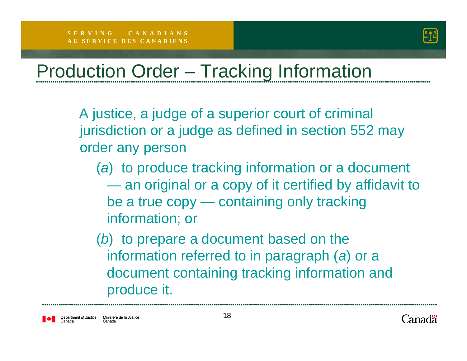

## Production Order – Tracking Information

A justice, a judge of a superior court of criminal jurisdiction or a judge as defined in section 552 may order any person

- (*a*) to produce tracking information or a document an original or a copy of it certified by affidavit to be a true copy — containing only tracking information; or
- (*b*) to prepare a document based on the information referred to in paragraph (*a*) or a document containing tracking information and produce it.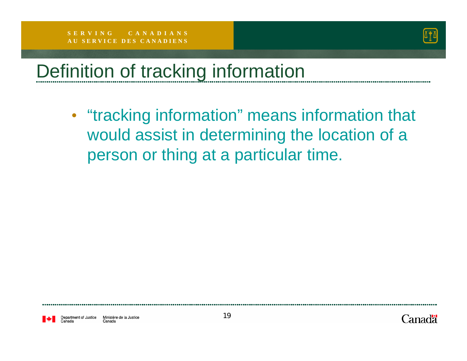

## Definition of tracking information

• "tracking information" means information that would assist in determining the location of a person or thing at a particular time.

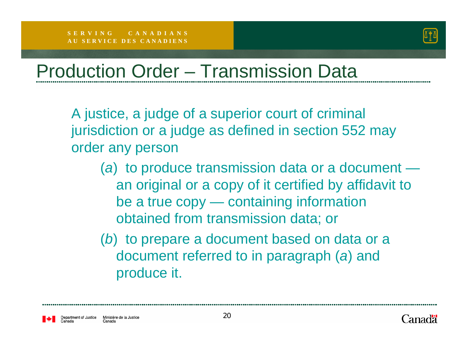

### Production Order – Transmission Data

A justice, a judge of a superior court of criminal jurisdiction or a judge as defined in section 552 may order any person

- (*a*) to produce transmission data or a document an original or a copy of it certified by affidavit to be a true copy — containing information obtained from transmission data; or
- (*b*) to prepare a document based on data or a document referred to in paragraph (*a*) and produce it.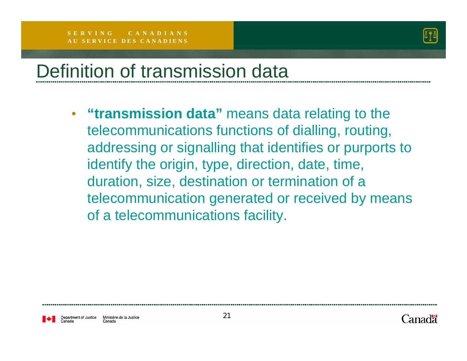

### Definition of transmission data

• **"transmission data"** means data relating to the telecommunications functions of dialling, routing, addressing or signalling that identifies or purports to identify the origin, type, direction, date, time, duration, size, destination or termination of a telecommunication generated or received by means of a telecommunications facility.

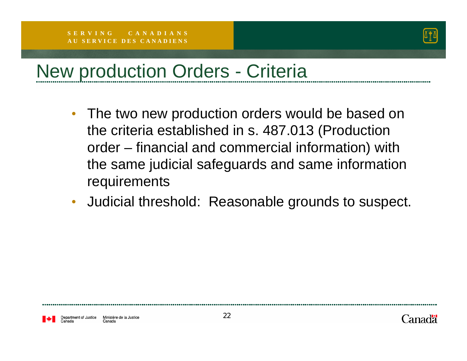

## New production Orders - Criteria

- The two new production orders would be based on the criteria established in s. 487.013 (Production order – financial and commercial information) with the same judicial safeguards and same information **requirements**
- $\bullet$ Judicial threshold: Reasonable grounds to suspect.

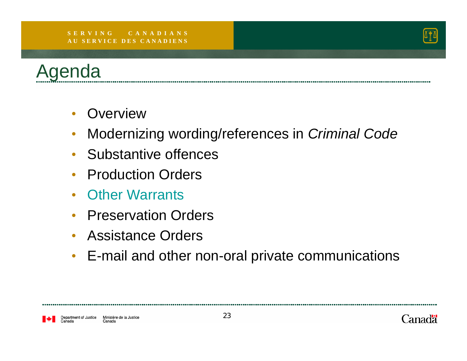#### **S E R V I N G C A N A D I A N SA U S E R V I C E D E S C A N A D I E N S**





- $\bullet$ **Overview**
- $\bullet$ Modernizing wording/references in *Criminal Code*
- Substantive offences
- Production Orders
- Other Warrants
- Preservation Orders
- Assistance Orders
- E-mail and other non-oral private communications

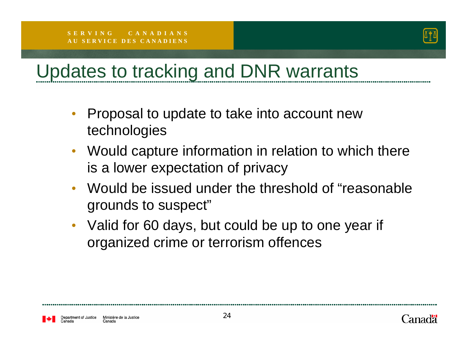

## Updates to tracking and DNR warrants

- $\bullet$  Proposal to update to take into account new technologies
- $\bullet$  Would capture information in relation to which there is a lower expectation of privacy
- $\bullet$  Would be issued under the threshold of "reasonable grounds to suspect"
- Valid for 60 days, but could be up to one year if organized crime or terrorism offences

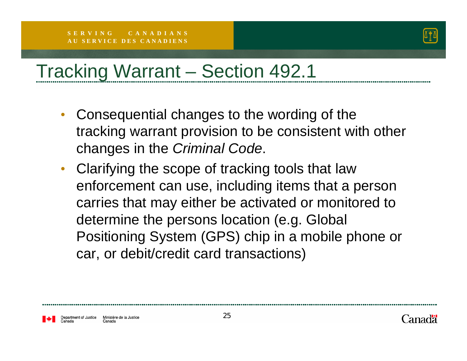

## Tracking Warrant – Section 492.1

- $\bullet$  Consequential changes to the wording of the tracking warrant provision to be consistent with other changes in the *Criminal Code*.
- Clarifying the scope of tracking tools that law enforcement can use, including items that a person carries that may either be activated or monitored to determine the persons location (e.g. Global Positioning System (GPS) chip in a mobile phone or car, or debit/credit card transactions)

epartment of Justice Ministère de la Justice Canada

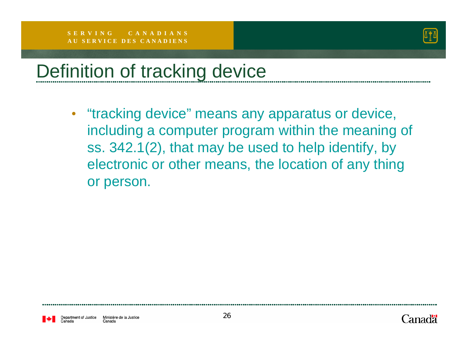

### Definition of tracking device

• "tracking device" means any apparatus or device, including a computer program within the meaning of ss. 342.1(2), that may be used to help identify, by electronic or other means, the location of any thing or person.

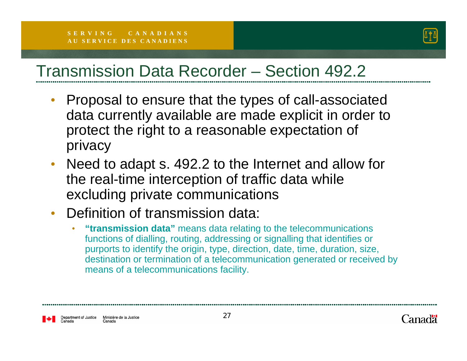

#### Transmission Data Recorder – Section 492.2

- • Proposal to ensure that the types of call-associated data currently available are made explicit in order to protect the right to a reasonable expectation of privacy
- • Need to adapt s. 492.2 to the Internet and allow for the real-time interception of traffic data while excluding private communications
- • Definition of transmission data:
	- • **"transmission data"** means data relating to the telecommunications functions of dialling, routing, addressing or signalling that identifies or purports to identify the origin, type, direction, date, time, duration, size, destination or termination of a telecommunication generated or received by means of a telecommunications facility.

epartment of Justice Ministère de la Justice Canada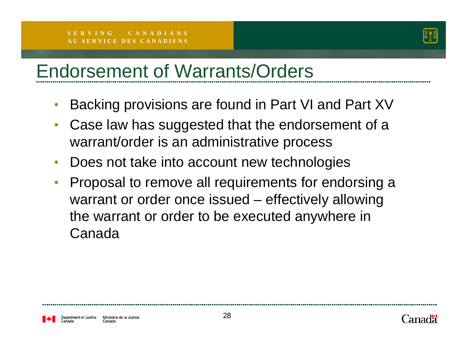

### Endorsement of Warrants/Orders

- •Backing provisions are found in Part VI and Part XV
- • Case law has suggested that the endorsement of a warrant/order is an administrative process
- Does not take into account new technologies
- • Proposal to remove all requirements for endorsing a warrant or order once issued – effectively allowing the warrant or order to be executed anywhere in Canada

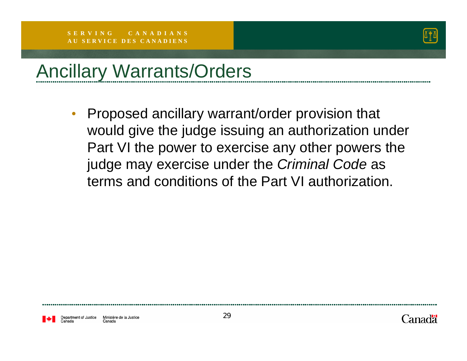

#### Ancillary Warrants/Orders

 $\bullet$  Proposed ancillary warrant/order provision that would give the judge issuing an authorization under Part VI the power to exercise any other powers the judge may exercise under the *Criminal Code* as terms and conditions of the Part VI authorization.

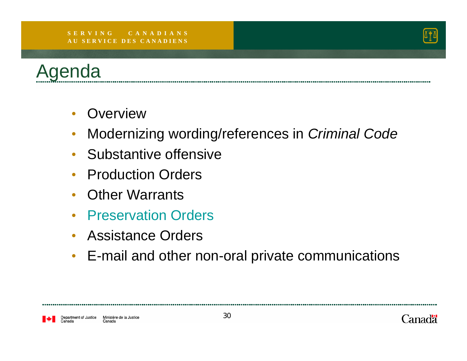#### **S E R V I N G C A N A D I A N SA U S E R V I C E D E S C A N A D I E N S**





- $\bullet$ **Overview**
- $\bullet$ Modernizing wording/references in *Criminal Code*
- Substantive offensive
- Production Orders
- Other Warrants
- Preservation Orders
- Assistance Orders
- E-mail and other non-oral private communications

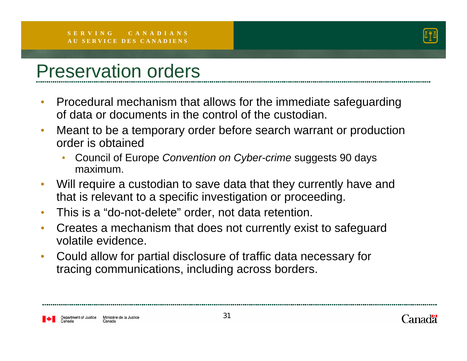

#### Preservation orders

- $\bullet$  Procedural mechanism that allows for the immediate safeguarding of data or documents in the control of the custodian.
- $\bullet$  Meant to be a temporary order before search warrant or production order is obtained
	- • Council of Europe *Convention on Cyber-crime* suggests 90 days maximum.
- • Will require a custodian to save data that they currently have and that is relevant to a specific investigation or proceeding.
- $\bullet$ This is a "do-not-delete" order, not data retention.
- $\bullet$  Creates a mechanism that does not currently exist to safeguard volatile evidence.
- $\bullet$  Could allow for partial disclosure of traffic data necessary for tracing communications, including across borders.

epartment of Justice Ministère de la Justice Canada

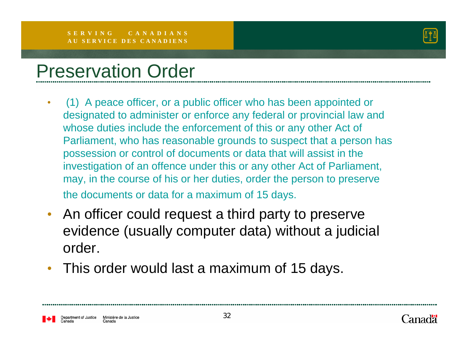

#### Preservation Order

- $\bullet$  (1) A peace officer, or a public officer who has been appointed or designated to administer or enforce any federal or provincial law and whose duties include the enforcement of this or any other Act of Parliament, who has reasonable grounds to suspect that a person has possession or control of documents or data that will assist in the investigation of an offence under this or any other Act of Parliament, may, in the course of his or her duties, order the person to preserve the documents or data for a maximum of 15 days.
- • An officer could request a third party to preserve evidence (usually computer data) without a judicial order.
- •This order would last a maximum of 15 days.

epartment of Justice Ministère de la Justice Canada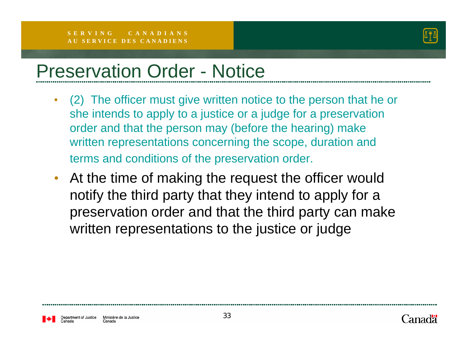

#### Preservation Order - Notice

- • (2) The officer must give written notice to the person that he or she intends to apply to a justice or a judge for a preservation order and that the person may (before the hearing) make written representations concerning the scope, duration and terms and conditions of the preservation order.
- • At the time of making the request the officer would notify the third party that they intend to apply for a preservation order and that the third party can make written representations to the justice or judge

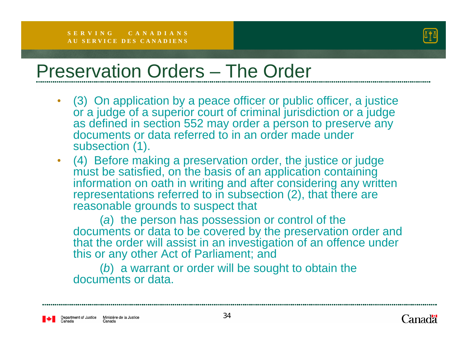

#### Preservation Orders – The Order

- • (3) On application by a peace officer or public officer, a justice or a judge of a superior court of criminal jurisdiction or a judge as defined in section 552 may order a person to preserve any documents or data referred to in an order made under subsection (1).
- (4) Before making a preservation order, the justice or judge must be satisfied, on the basis of an application containing information on oath in writing and after considering any written representations referred to in subsection (2), that there are reasonable grounds to suspect that

(*a*) the person has possession or control of the documents or data to be covered by the preservation order and that the order will assist in an investigation of an offence under this or any other Act of Parliament; and

(*b*) a warrant or order will be sought to obtain the documents or data.

Department of Justice Ministère de la Justice Canada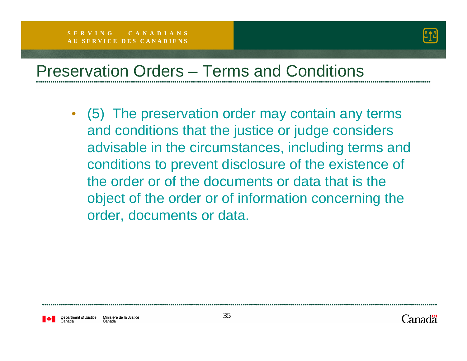

#### Preservation Orders – Terms and Conditions

• (5) The preservation order may contain any terms and conditions that the justice or judge considers advisable in the circumstances, including terms and conditions to prevent disclosure of the existence of the order or of the documents or data that is the object of the order or of information concerning the order, documents or data.

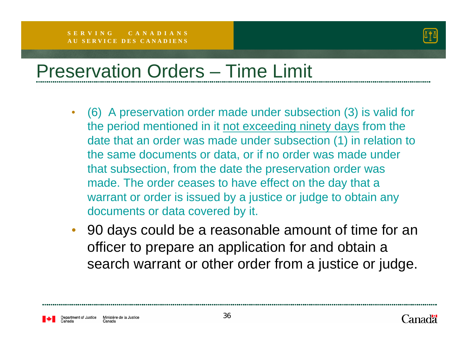

## Preservation Orders – Time Limit

- (6) A preservation order made under subsection (3) is valid for the period mentioned in it not exceeding ninety days from the date that an order was made under subsection (1) in relation to the same documents or data, or if no order was made under that subsection, from the date the preservation order was made. The order ceases to have effect on the day that a warrant or order is issued by a justice or judge to obtain any documents or data covered by it.
- 90 days could be a reasonable amount of time for an officer to prepare an application for and obtain a search warrant or other order from a justice or judge.

epartment of Justice Ministère de la Justice Canada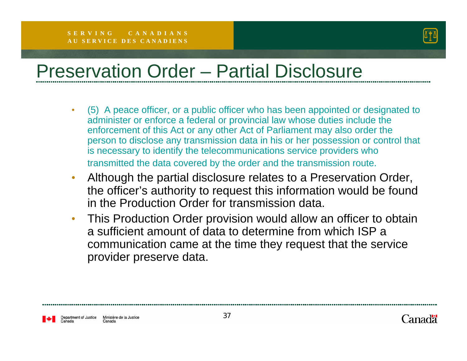

### Preservation Order – Partial Disclosure

- • (5) A peace officer, or a public officer who has been appointed or designated to administer or enforce a federal or provincial law whose duties include the enforcement of this Act or any other Act of Parliament may also order the person to disclose any transmission data in his or her possession or control that is necessary to identify the telecommunications service providers who transmitted the data covered by the order and the transmission route.
- $\bullet$  Although the partial disclosure relates to a Preservation Order, the officer's authority to request this information would be found in the Production Order for transmission data.
- $\bullet$  This Production Order provision would allow an officer to obtain a sufficient amount of data to determine from which ISP a communication came at the time they request that the service provider preserve data.

Department of Justice Ministère de la Justice Canada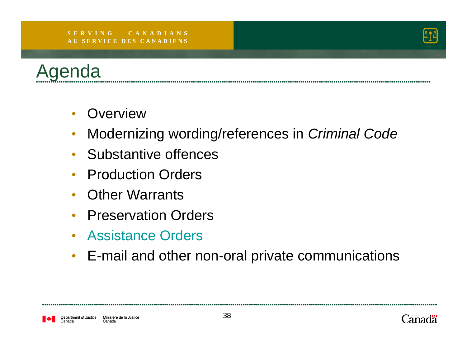#### **S E R V I N G C A N A D I A N SA U S E R V I C E D E S C A N A D I E N S**





- $\bullet$ **Overview**
- $\bullet$ Modernizing wording/references in *Criminal Code*
- Substantive offences
- Production Orders
- Other Warrants
- $\bullet$ Preservation Orders
- Assistance Orders
- E-mail and other non-oral private communications

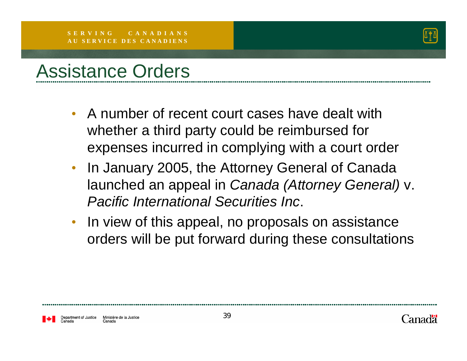

#### Assistance Orders

- A number of recent court cases have dealt with whether a third party could be reimbursed for expenses incurred in complying with a court order
- $\bullet$  In January 2005, the Attorney General of Canada launched an appeal in *Canada (Attorney General)* v. *Pacific International Securities Inc*.
- In view of this appeal, no proposals on assistance orders will be put forward during these consultations

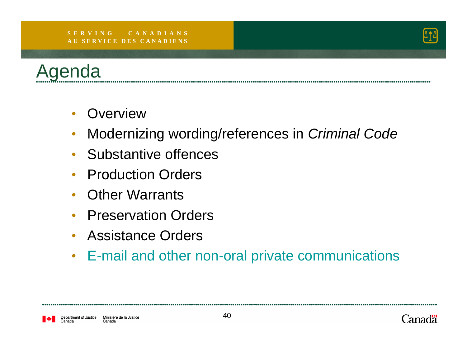#### **S E R V I N G C A N A D I A N SA U S E R V I C E D E S C A N A D I E N S**





- $\bullet$ **Overview**
- $\bullet$ Modernizing wording/references in *Criminal Code*
- Substantive offences
- Production Orders
- Other Warrants
- Preservation Orders
- $\bullet$ Assistance Orders
- E-mail and other non-oral private communications

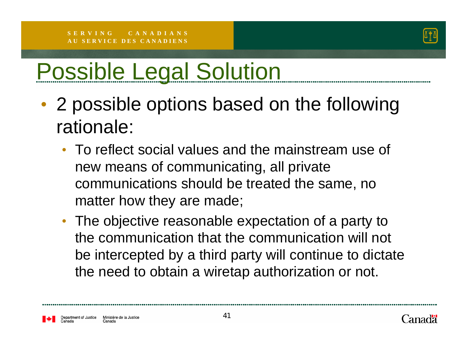

# Possible Legal Solution

- • 2 possible options based on the following rationale:
	- To reflect social values and the mainstream use of new means of communicating, all private communications should be treated the same, no matter how they are made;
	- The objective reasonable expectation of a party to the communication that the communication will not be intercepted by a third party will continue to dictate the need to obtain a wiretap authorization or not.

partment of Justice Ministère de la Justice Canada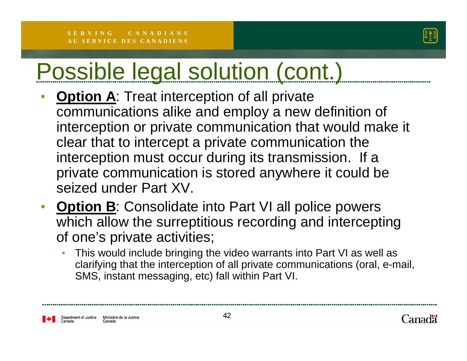

- • **Option A**: Treat interception of all private communications alike and employ a new definition of interception or private communication that would make it clear that to intercept a private communication the interception must occur during its transmission. If a private communication is stored anywhere it could be seized under Part XV.
- •**Option B**: Consolidate into Part VI all police powers which allow the surreptitious recording and intercepting of one's private activities;
	- • This would include bringing the video warrants into Part VI as well as clarifying that the interception of all private communications (oral, e-mail, SMS, instant messaging, etc) fall within Part VI.

epartment of Justice Ministère de la Justice Canada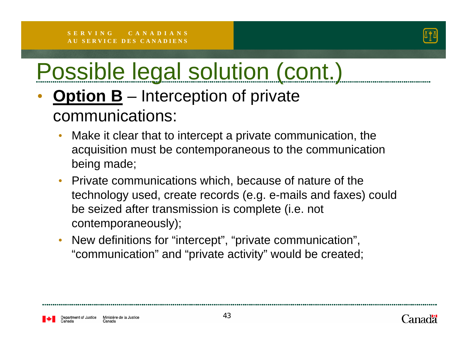

#### •**Option B** – Interception of private communications:

- • Make it clear that to intercept a private communication, the acquisition must be contemporaneous to the communication being made;
- • Private communications which, because of nature of the technology used, create records (e.g. e-mails and faxes) could be seized after transmission is complete (i.e. not contemporaneously);
- • New definitions for "intercept", "private communication", "communication" and "private activity" would be created;

partment of Justice Ministère de la Justice Canada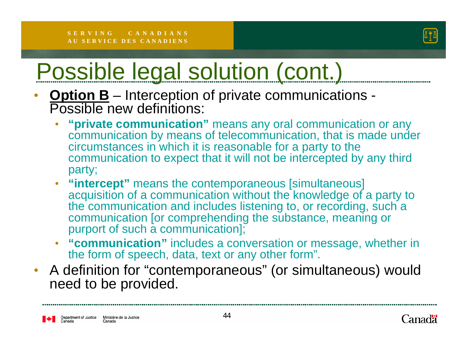

- • **Option B** – Interception of private communications - Possible new definitions:
	- • **"private communication"** means any oral communication or any communication by means of telecommunication, that is made under circumstances in which it is reasonable for a party to the communication to expect that it will not be intercepted by any third party;
	- **"intercept"** means the contemporaneous [simultaneous] acquisition of a communication without the knowledge of a party to the communication and includes listening to, or recording, such a communication [or comprehending the substance, meaning or purport of such a communication];
	- • **"communication"** includes a conversation or message, whether in the form of speech, data, text or any other form".
- A definition for "contemporaneous" (or simultaneous) would need to be provided.

Department of Justice Ministère de la Justice Canada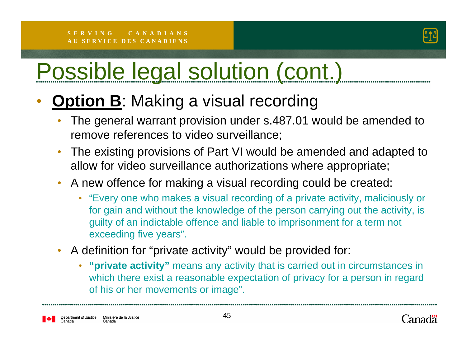

#### •**Option B: Making a visual recording**

- $\bullet$  The general warrant provision under s.487.01 would be amended to remove references to video surveillance;
- • The existing provisions of Part VI would be amended and adapted to allow for video surveillance authorizations where appropriate;
- A new offence for making a visual recording could be created:
	- "Every one who makes a visual recording of a private activity, maliciously or for gain and without the knowledge of the person carrying out the activity, is guilty of an indictable offence and liable to imprisonment for a term not exceeding five years".
- A definition for "private activity" would be provided for:
	- **"private activity"** means any activity that is carried out in circumstances in which there exist a reasonable expectation of privacy for a person in regard of his or her movements or image".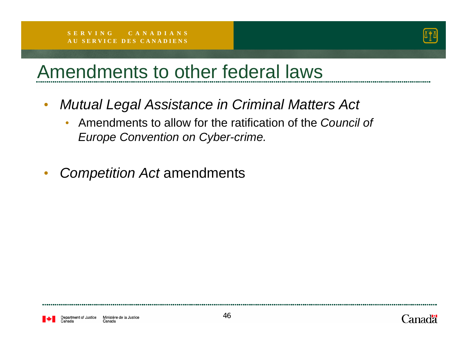

### Amendments to other federal laws

- $\bullet$  *Mutual Legal Assistance in Criminal Matters Act*
	- • Amendments to allow for the ratification of the *Council of Europe Convention on Cyber-crime.*
- •*Competition Act* amendments